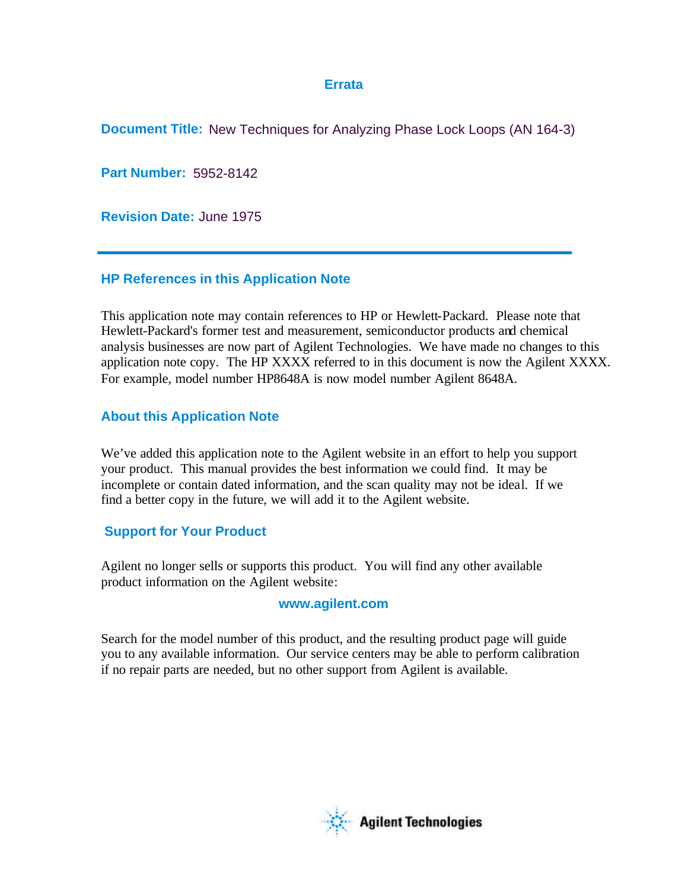## **Errata**

**Document Title:** New Techniques for Analyzing Phase Lock Loops (AN 164-3)

**Part Number:** 5952-8142

**Revision Date:** June 1975

## **HP References in this Application Note**

This application note may contain references to HP or Hewlett-Packard. Please note that Hewlett-Packard's former test and measurement, semiconductor products and chemical analysis businesses are now part of Agilent Technologies. We have made no changes to this application note copy. The HP XXXX referred to in this document is now the Agilent XXXX. For example, model number HP8648A is now model number Agilent 8648A.

# **About this Application Note**

We've added this application note to the Agilent website in an effort to help you support your product. This manual provides the best information we could find. It may be incomplete or contain dated information, and the scan quality may not be ideal. If we find a better copy in the future, we will add it to the Agilent website.

# **Support for Your Product**

Agilent no longer sells or supports this product. You will find any other available product information on the Agilent website:

# **www.agilent.com**

Search for the model number of this product, and the resulting product page will guide you to any available information. Our service centers may be able to perform calibration if no repair parts are needed, but no other support from Agilent is available.

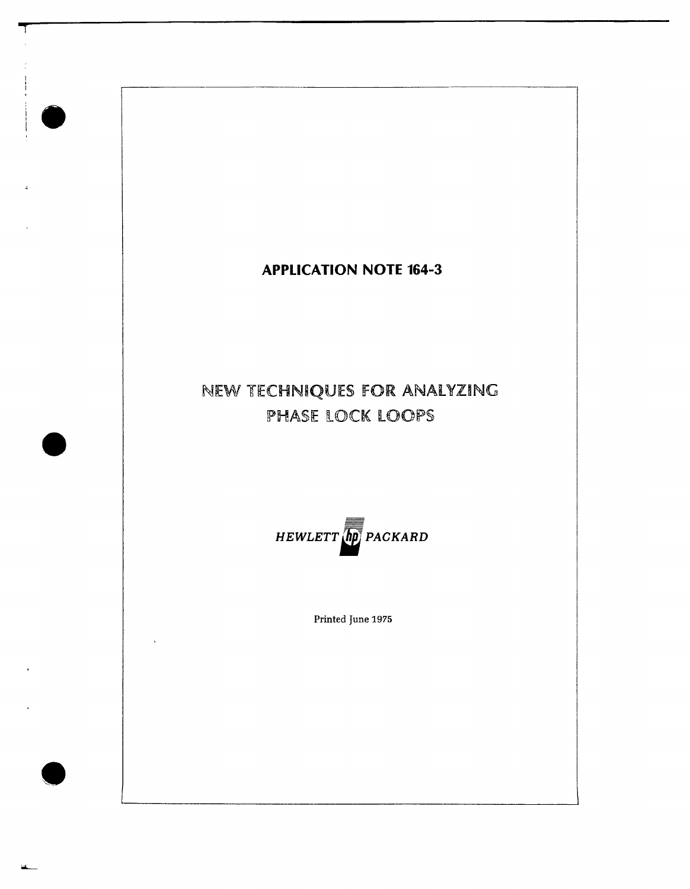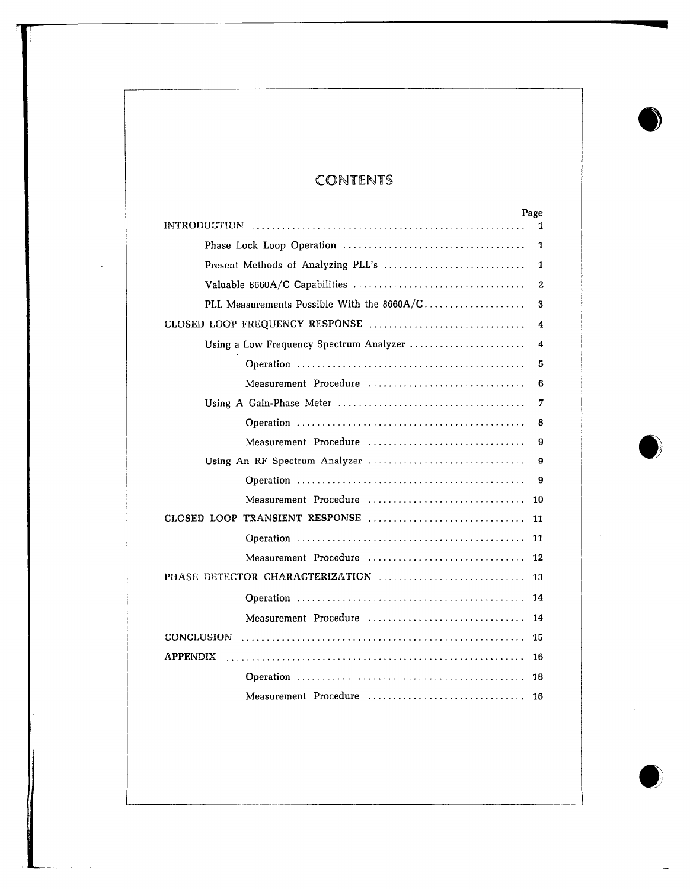# **CONTENTS**

| Page<br><b>INTRODUCTION</b>                | 1  |
|--------------------------------------------|----|
|                                            | 1  |
| Present Methods of Analyzing PLL's         | 1  |
|                                            | 2  |
| PLL Measurements Possible With the 8660A/C | 3  |
| CLOSED LOOP FREQUENCY RESPONSE             | 4  |
| Using a Low Frequency Spectrum Analyzer    | 4  |
|                                            | 5  |
| Measurement Procedure                      | 6  |
|                                            | 7  |
|                                            | 8  |
| Measurement Procedure                      | 9  |
|                                            | 9  |
|                                            | 9  |
| Measurement Procedure                      | 10 |
| CLOSED LOOP TRANSIENT RESPONSE             | 11 |
|                                            | 11 |
| Measurement Procedure                      | 12 |
| PHASE DETECTOR CHARACTERIZATION            | 13 |
|                                            | 14 |
| Measurement Procedure                      | 14 |
| CONCLUSION                                 | 15 |
| <b>APPENDIX</b>                            | 16 |
|                                            | 16 |
| Measurement Procedure                      | 16 |

 $\sim$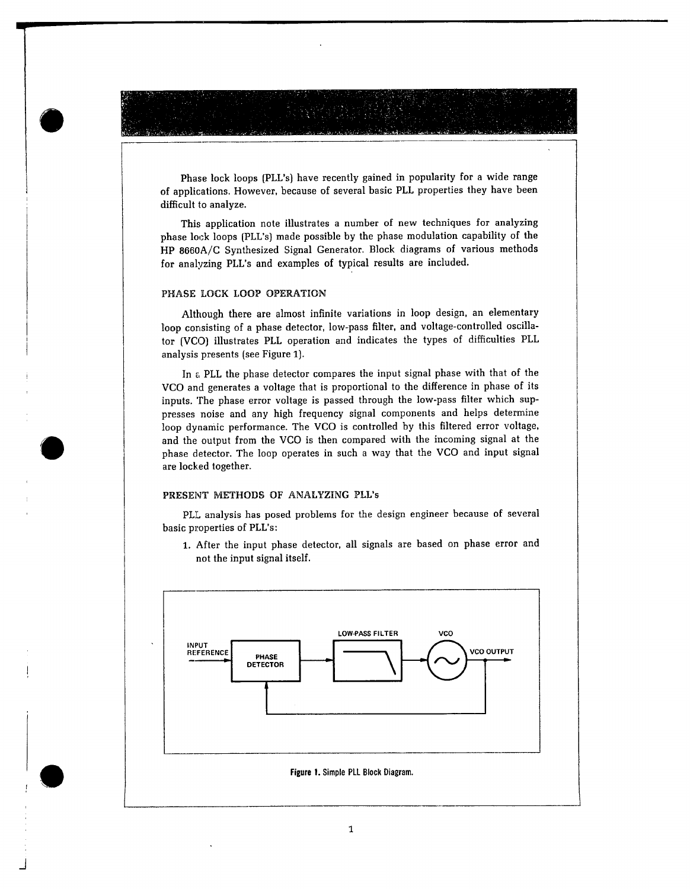Phase lock loops (PLL's) have recently gained in popularity for a wide range of applications. However, because of several basic PLL properties they have been difficult to analyze.

This application note illustrates a number of new techniques for analyzing phase lock loops (PLL's) made possible by the phase modulation capability of the HP 8660A/C Synthesized Signal Generator. Block diagrams of various methods for analyzing PLL's and examples of typical results are included.

## PHASE LOCK LOOP OPERATION

Although there are almost infinite variations in loop design, an elementary loop consisting of a phase detector, low-pass filter, and voltage-controlled oscillator (VCO) illustrates PLL operation and indicates the types of difficulties PLL analysis presents (see Figure 1).

In a PLL the phase detector compares the input signal phase with that of the VCO and generates a voltage that is proportional to the difference in phase of its inputs. The phase error voltage is passed through the low-pass filter which suppresses noise and any high frequency signal components and helps determine loop dynamic performance. The VCO is controlled by this filtered error voltage, and the output from the VCO is then compared with the incoming signal at the phase detector. The loop operates in such a way that the VCO and input signal are locked together.

### PRESENT METHODS OF ANALYZING PLL's

PLL analysis has posed problems for the design engineer because of several basic properties of PLL's:

1. After the input phase detector, all signals are based on phase error and not the input signal itself.

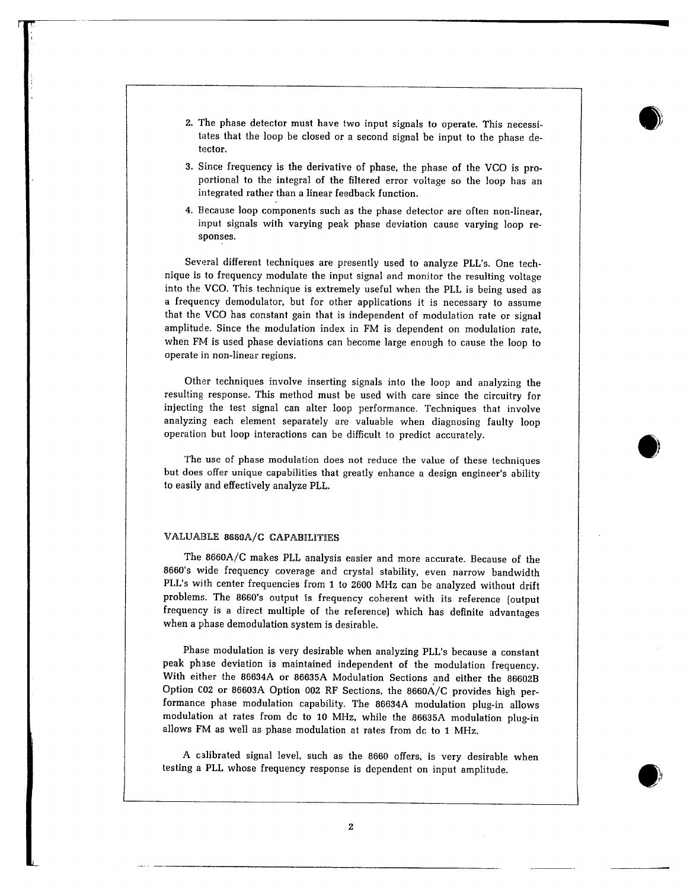- 2. The phase detector must have two input signals to operate. This necessitates that the loop be closed or a second signal be input to the phase detector.
- 3. Since frequency is the derivative of phase, the phase of the VCO is proportional to the integral of the filtered error voltage so the loop has an integrated rather than a linear feedback function.
- 4. Because loop components such as the phase detector are often non-linear. input signals with varying peak phase deviation cause varying loop responses.

Several different techniques are presently used to analyze PLL's. One technique is to frequency modulate the input signal and monitor the resulting voltage into the VCO. This technique is extremely useful when the PLL is being used as a frequency demodulator, but for other applications it is necessary to assume that the VCO has constant gain that is independent of modulation rate or signal amplitude. Since the modulation index in FM is dependent on modulation rate, when FM is used phase deviations can become large enough to cause the loop to operate in non-linear regions.

Other techniques involve inserting signals into the loop and analyzing the resulting response. This method must be used with care since the circuitry for injecting the test signal can alter loop performance. Techniques that involve analyzing each element separately are valuable when diagnosing faulty loop operation but loop interactions can be difficult to predict accurately.

The use of phase modulation does not reduce the value of these techniques but does offer unique capabilities that greatly enhance a design engineer's ability to easily and effectively analyze PLL.

### VALUABLE 8660A/C CAPABILITIES

The 8660A/C makes PLL analysis easier and more accurate. Because of the 8660's wide frequency coverage and crystal stability, even narrow bandwidth PLL's with center frequencies from 1 to 2600 MHz can be analyzed without drift problems. The 8660's output is frequency coherent with its reference (output frequency is a direct multiple of the reference) which has definite advantages when a phase demodulation system is desirable.

Phase modulation is very desirable when analyzing PLL's because a constant peak phase deviation is maintained independent of the modulation frequency. With either the 86634A or 86635A Modulation Sections and either the 86602B Option C02 or 86603A Option 002 RF Sections, the 8660A/C provides high performance phase modulation capability. The 86634A modulation plug-in allows modulation at rates from dc to 10 MHz, while the 86635A modulation plug-in allows FM as well as phase modulation at rates from dc to 1 MHz.

A calibrated signal level, such as the 8660 offers, is very desirable when testing a PLL whose frequency response is dependent on input amplitude.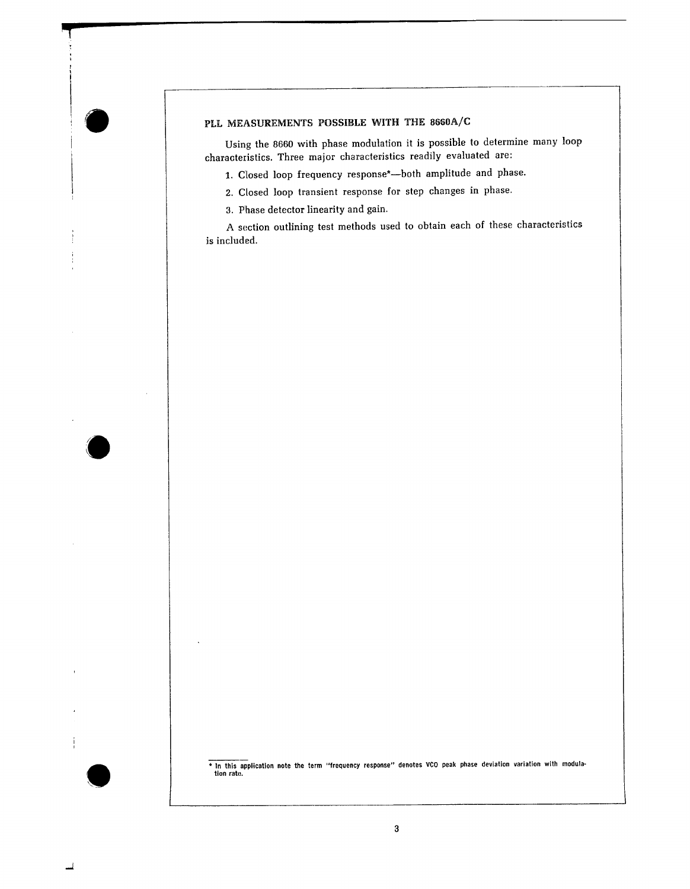## PLL MEASUREMENTS POSSIBLE WITH THE 8660A/C

Using the 8660 with phase modulation it is possible to determine many loop characteristics. Three major characteristics readily evaluated are:

- 1. Closed loop frequency response\*-both amplitude and phase.
- 2. Closed loop transient response for step changes in phase.
- 3. Phase detector linearity and gain.

A section outlining test methods used to obtain each of these characteristics is included.

\* In this application note the term "frequency response" denotes VCO peak phase deviation variation with modulation rate.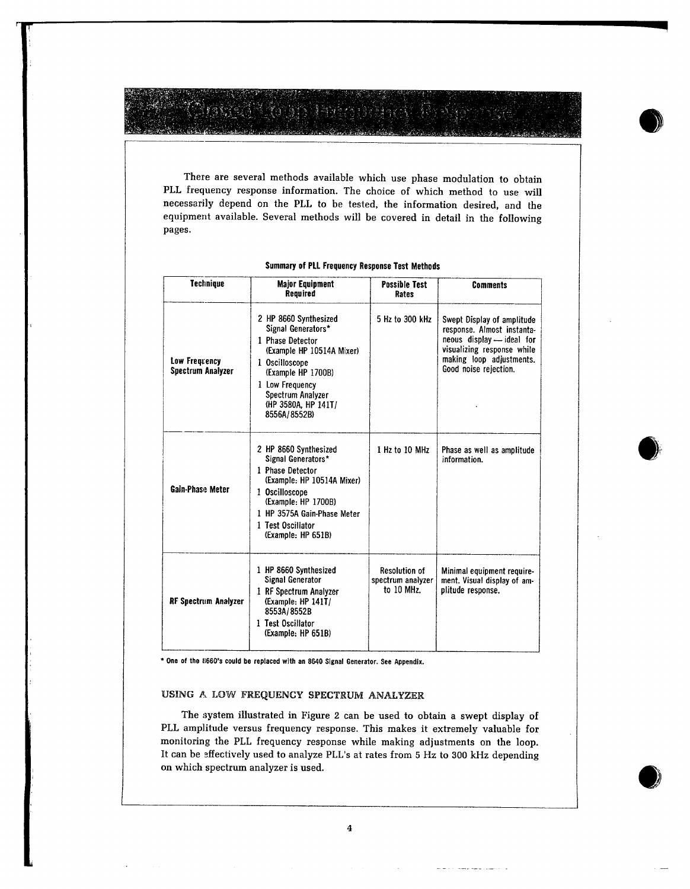There are several methods available which use phase modulation to obtain PLL frequency response information. The choice of which method to use will necessarily depend on the PLL to be tested, the information desired, and the equipment available. Several methods will be covered in detail in the following pages.

| <b>Technique</b>                   | <b>Major Equipment</b><br>Required                                                                                                                                                                                  | <b>Possible Test</b><br>Rates                           | <b>Comments</b>                                                                                                                                                          |
|------------------------------------|---------------------------------------------------------------------------------------------------------------------------------------------------------------------------------------------------------------------|---------------------------------------------------------|--------------------------------------------------------------------------------------------------------------------------------------------------------------------------|
| Low Frequency<br>Spectrum Analyzer | 2 HP 8660 Synthesized<br>Signal Generators*<br>1 Phase Detector<br>(Example HP 10514A Mixer)<br>1 Oscilloscope<br>(Example HP 1700B)<br>1 Low Frequency<br>Spectrum Analyzer<br>(HP 3580A, HP 141T/<br>8556A/8552B) | 5 Hz to 300 kHz                                         | Swept Display of amplitude<br>response. Almost instanta-<br>neous display - ideal for<br>visualizing response while<br>making loop adjustments.<br>Good noise rejection. |
| Gain-Phase Meter                   | 2 HP 8660 Synthesized<br>Signal Generators*<br>1 Phase Detector<br>(Example: HP 10514A Mixer)<br>1 Oscilloscope<br>(Example: HP 1700B)<br>1 HP 3575A Gain-Phase Meter<br>1 Test Oscillator<br>(Example: HP 651B)    | 1 Hz to 10 MHz                                          | Phase as well as amplitude<br>information.                                                                                                                               |
| RF Spectrum Analyzer               | 1 HP 8660 Synthesized<br>Signal Generator<br>1 RF Spectrum Analyzer<br>(Example: HP 141T/<br>8553A/8552B<br>1 Test Oscillator<br>(Example: HP 651B)                                                                 | <b>Resolution of</b><br>spectrum analyzer<br>to 10 MHz. | Minimal equipment require-<br>ment. Visual display of am-<br>plitude response.                                                                                           |

### Summary of PLL Frequency Response Test Methods

\* One of the 8660's could be replaced with an 8640 Signal Generator. See Appendix.

### USING A LOW FREQUENCY SPECTRUM ANALYZER

The system illustrated in Figure 2 can be used to obtain a swept display of PLL amplitude versus frequency response. This makes it extremely valuable for monitoring the PLL frequency response while making adjustments on the loop. It can be effectively used to analyze PLL's at rates from 5 Hz to 300 kHz depending on which spectrum analyzer is used.

man san an an San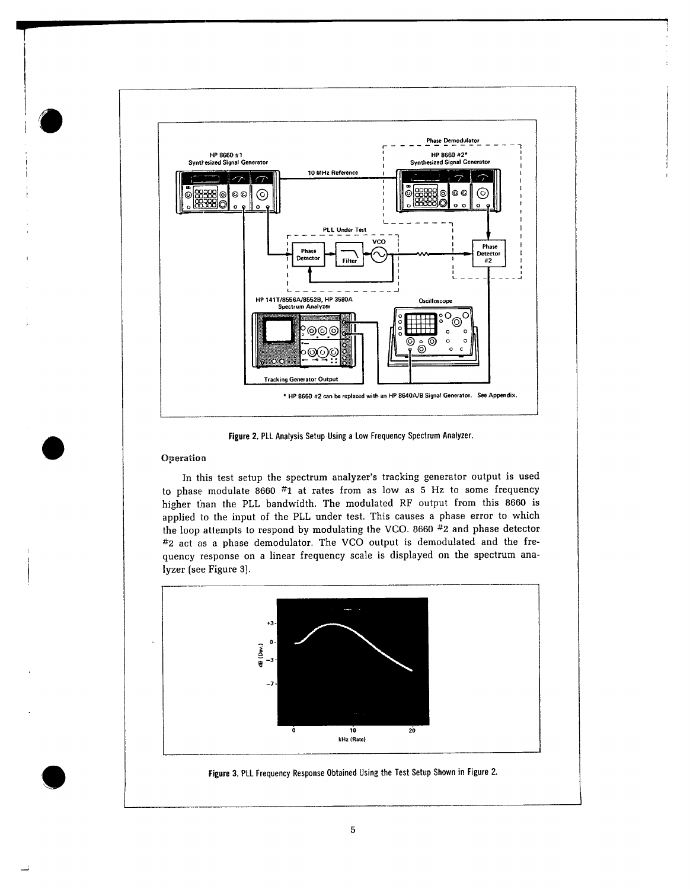

Figure 2. PLL Analysis Setup Using a Low Frequency Spectrum Analyzer.

## Operation

In this test setup the spectrum analyzer's tracking generator output is used to phase modulate 8660  $#1$  at rates from as low as 5 Hz to some frequency higher than the PLL bandwidth. The modulated RF output from this 8660 is applied to the input of the PLL under test. This causes a phase error to which the loop attempts to respond by modulating the VCO. 8660 #2 and phase detector #2 act as a phase demodulator. The VCO output is demodulated and the frequency response on a linear frequency scale is displayed on the spectrum analyzer (see Figure 3).



Figure 3. PLL Frequency Response Obtained Using the Test Setup Shown in Figure 2.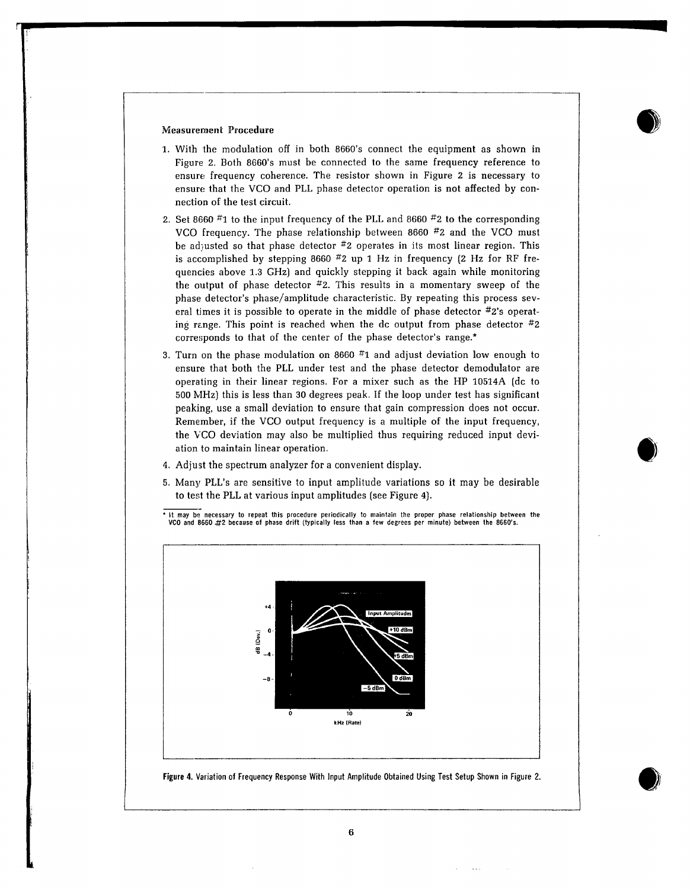#### **Measurement Procedure**

- 1. With the modulation off in both 8660's connect the equipment as shown in Figure 2. Both 8660's must be connected to the same frequency reference to ensure frequency coherence. The resistor shown in Figure 2 is necessary to ensure that the VCO and PLL phase detector operation is not affected by connection of the test circuit.
- 2. Set 8660  $#1$  to the input frequency of the PLL and 8660  $#2$  to the corresponding VCO frequency. The phase relationship between 8660 #2 and the VCO must be adjusted so that phase detector  $#2$  operates in its most linear region. This is accomplished by stepping 8660  $#2$  up 1 Hz in frequency (2 Hz for RF frequencies above 1.3 GHz) and quickly stepping it back again while monitoring the output of phase detector  $#2$ . This results in a momentary sweep of the phase detector's phase/amplitude characteristic. By repeating this process several times it is possible to operate in the middle of phase detector  $\#2$ 's operating range. This point is reached when the dc output from phase detector  $\#2$ corresponds to that of the center of the phase detector's range.\*
- 3. Turn on the phase modulation on 8660  $#1$  and adjust deviation low enough to ensure that both the PLL under test and the phase detector demodulator are operating in their linear regions. For a mixer such as the HP 10514A (dc to 500 MHz) this is less than 30 degrees peak. If the loop under test has significant peaking, use a small deviation to ensure that gain compression does not occur. Remember, if the VCO output frequency is a multiple of the input frequency, the VCO deviation may also be multiplied thus requiring reduced input deviation to maintain linear operation.
- 4. Adjust the spectrum analyzer for a convenient display.
- 5. Many PLL's are sensitive to input amplitude variations so it may be desirable to test the PLL at various input amplitudes (see Figure 4).

\* It may be necessary to repeat this procedure periodically to maintain the proper phase relationship between the VCO and 8660 #2 because of phase drift (typically less than a few degrees per minute) between the 8660's.

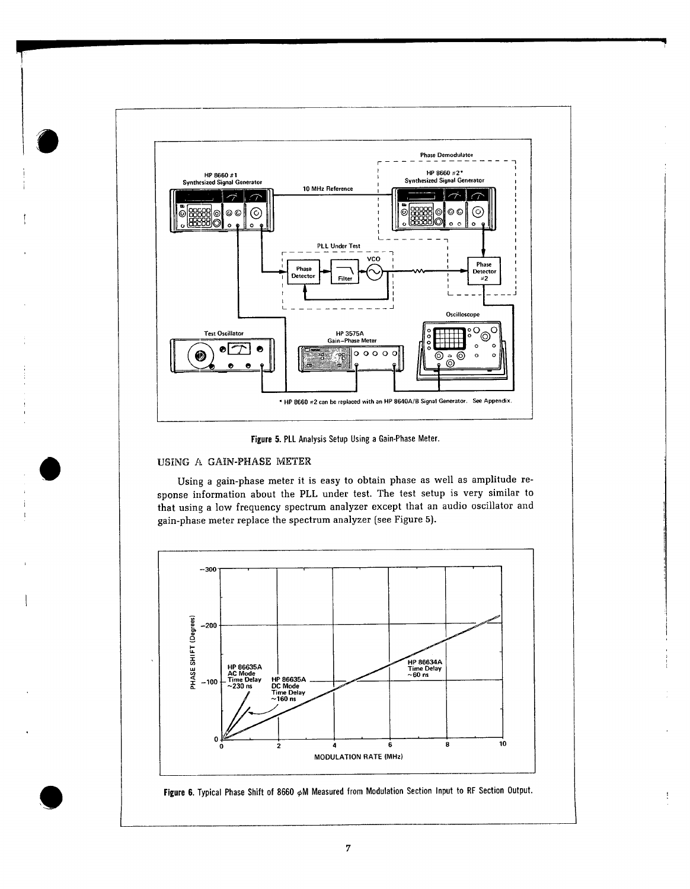

Figure 5. PLL Analysis Setup Using a Gain-Phase Meter.

## USING A GAIN-PHASE METER

Using a gain-phase meter it is easy to obtain phase as well as amplitude response information about the PLL under test. The test setup is very similar to that using a low frequency spectrum analyzer except that an audio oscillator and gain-phase meter replace the spectrum analyzer (see Figure 5).



Figure 6. Typical Phase Shift of 8660  $\phi$ M Measured from Modulation Section Input to RF Section Output.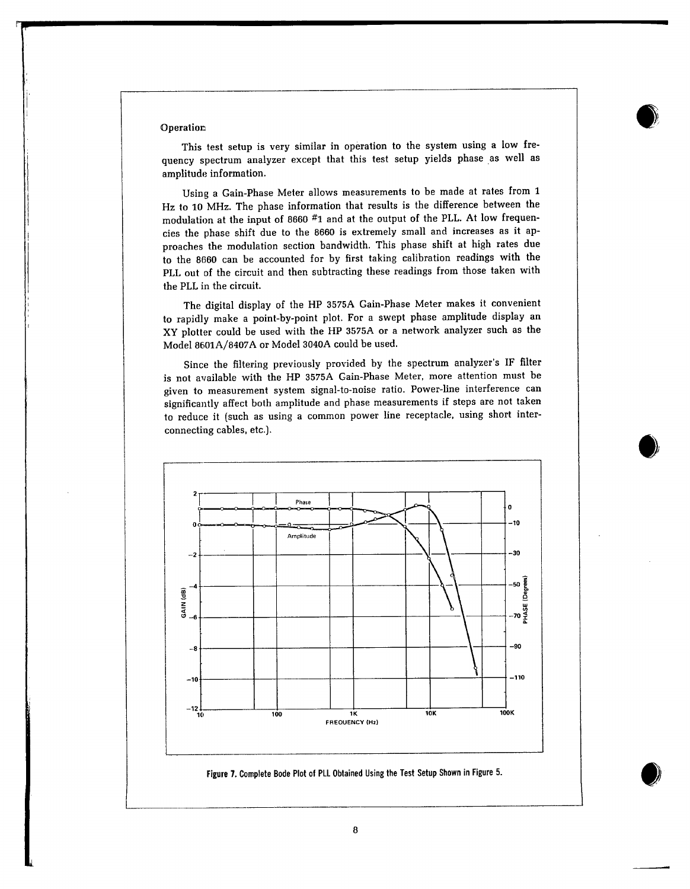#### Operation

This test setup is very similar in operation to the system using a low frequency spectrum analyzer except that this test setup yields phase as well as amplitude information.

Using a Gain-Phase Meter allows measurements to be made at rates from 1 Hz to 10 MHz. The phase information that results is the difference between the modulation at the input of 8660 #1 and at the output of the PLL. At low frequencies the phase shift due to the 8660 is extremely small and increases as it approaches the modulation section bandwidth. This phase shift at high rates due to the 8660 can be accounted for by first taking calibration readings with the PLL out of the circuit and then subtracting these readings from those taken with the PLL in the circuit.

The digital display of the HP 3575A Gain-Phase Meter makes it convenient to rapidly make a point-by-point plot. For a swept phase amplitude display an XY plotter could be used with the HP 3575A or a network analyzer such as the Model 8601A/8407A or Model 3040A could be used.

Since the filtering previously provided by the spectrum analyzer's IF filter is not available with the HP 3575A Gain-Phase Meter, more attention must be given to measurement system signal-to-noise ratio. Power-line interference can significantly affect both amplitude and phase measurements if steps are not taken to reduce it (such as using a common power line receptacle, using short interconnecting cables, etc.).

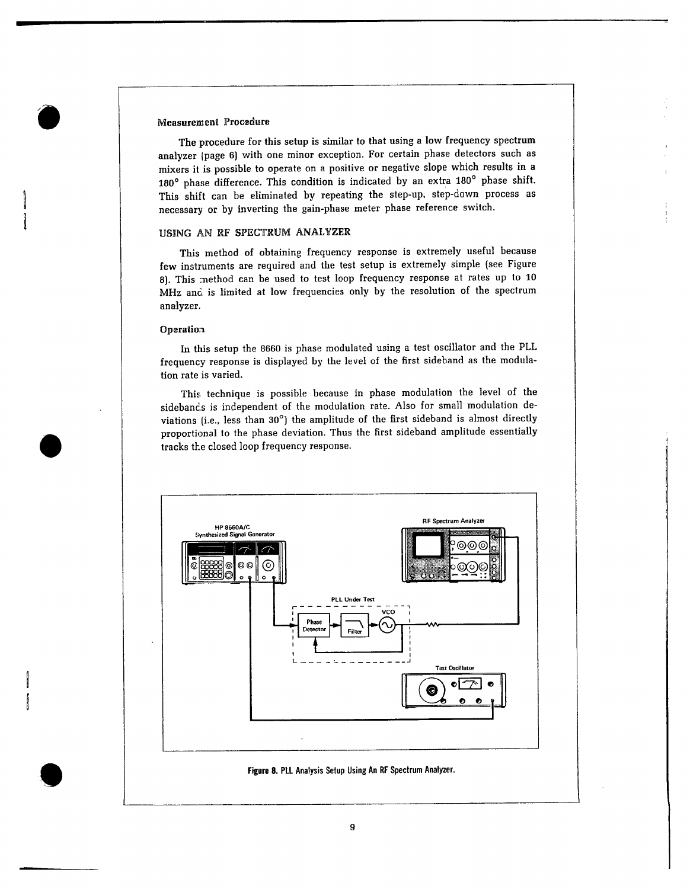#### **Measurement Procedure**

The procedure for this setup is similar to that using a low frequency spectrum analyzer (page 6) with one minor exception. For certain phase detectors such as mixers it is possible to operate on a positive or negative slope which results in a 180° phase difference. This condition is indicated by an extra 180° phase shift. This shift can be eliminated by repeating the step-up, step-down process as necessary or by inverting the gain-phase meter phase reference switch.

## USING AN RF SPECTRUM ANALYZER

This method of obtaining frequency response is extremely useful because few instruments are required and the test setup is extremely simple (see Figure 8). This method can be used to test loop frequency response at rates up to 10 MHz and is limited at low frequencies only by the resolution of the spectrum analyzer.

#### Operation

In this setup the 8660 is phase modulated using a test oscillator and the PLL frequency response is displayed by the level of the first sideband as the modulation rate is varied.

This technique is possible because in phase modulation the level of the sidebancs is independent of the modulation rate. Also for small modulation deviations (i.e., less than 30°) the amplitude of the first sideband is almost directly proportional to the phase deviation. Thus the first sideband amplitude essentially tracks the closed loop frequency response.

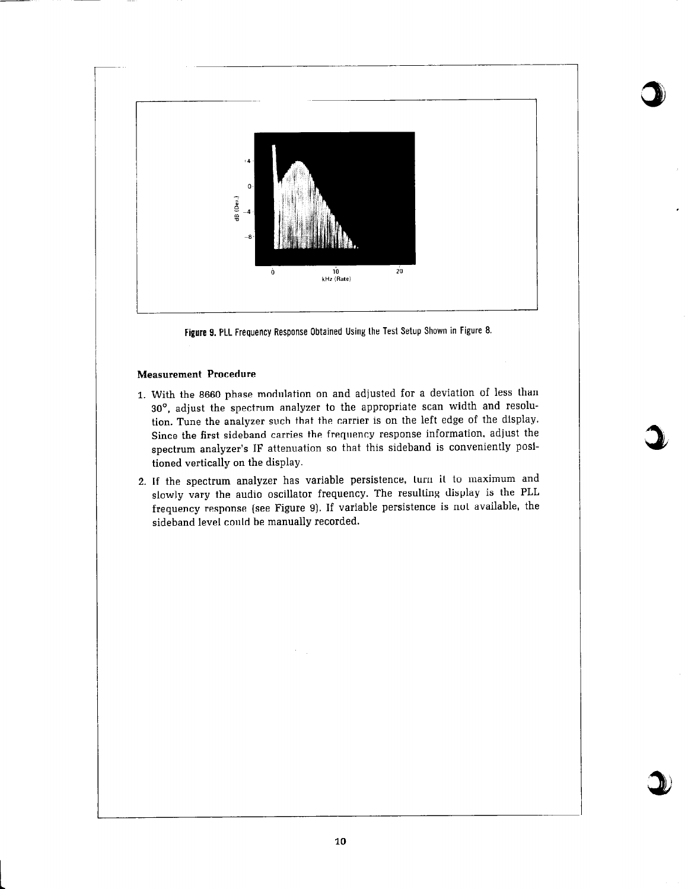

Figure 9. PLL Frequency Response Obtained Using the Test Setup Shown in Figure 8.

## **Measurement Procedure**

- 1. With the 8660 phase modulation on and adjusted for a deviation of less than 30°, adjust the spectrum analyzer to the appropriate scan width and resolution. Tune the analyzer such that the carrier is on the left edge of the display. Since the first sideband carries the frequency response information, adjust the spectrum analyzer's IF attenuation so that this sideband is conveniently positioned vertically on the display.
- 2. If the spectrum analyzer has variable persistence, turn it to maximum and slowly vary the audio oscillator frequency. The resulting display is the PLL frequency response (see Figure 9). If variable persistence is not available, the sideband level could be manually recorded.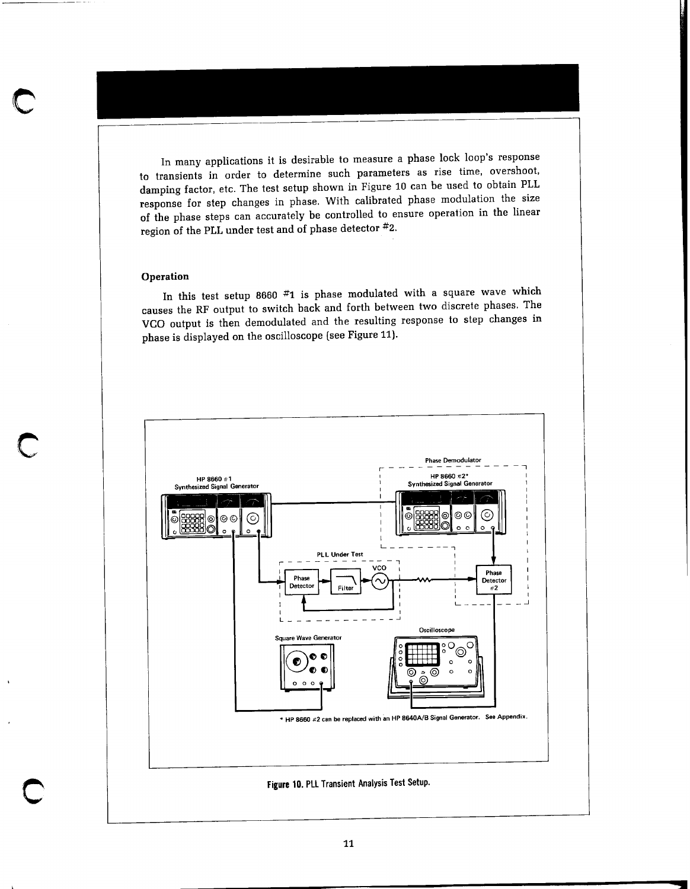In many applications it is desirable to measure a phase lock loop's response to transients in order to determine such parameters as rise time, overshoot, damping factor, etc. The test setup shown in Figure 10 can be used to obtain PLL response for step changes in phase. With calibrated phase modulation the size of the phase steps can accurately be controlled to ensure operation in the linear region of the PLL under test and of phase detector #2.

#### Operation

In this test setup 8660  $#1$  is phase modulated with a square wave which causes the RF output to switch back and forth between two discrete phases. The VCO output is then demodulated and the resulting response to step changes in phase is displayed on the oscilloscope (see Figure 11).

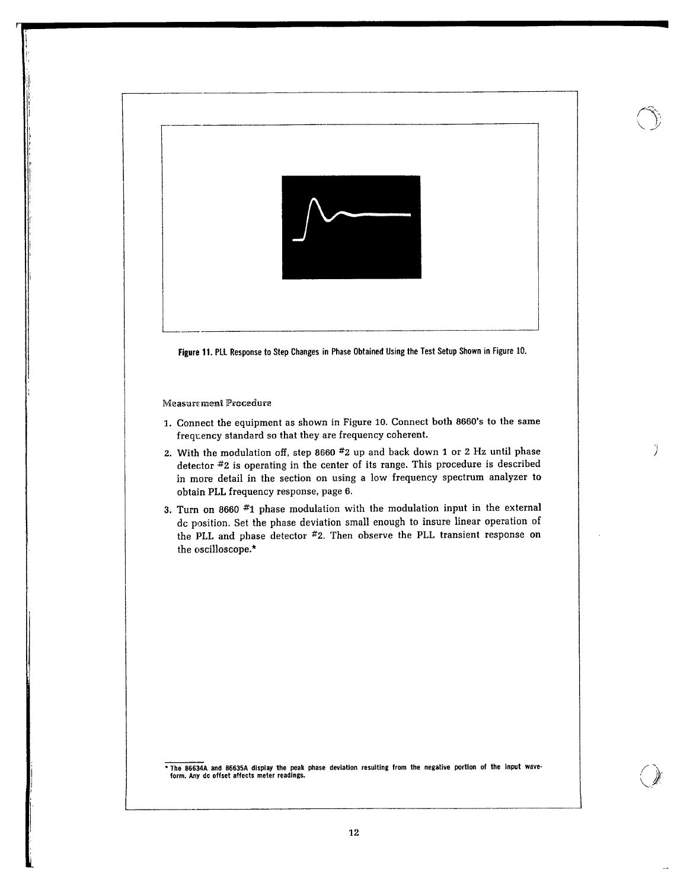

Ÿ

\* The 86634A and 86635A display the peak phase deviation resulting from the negative portion of the input wave-<br>form. Any dc offset affects meter readings.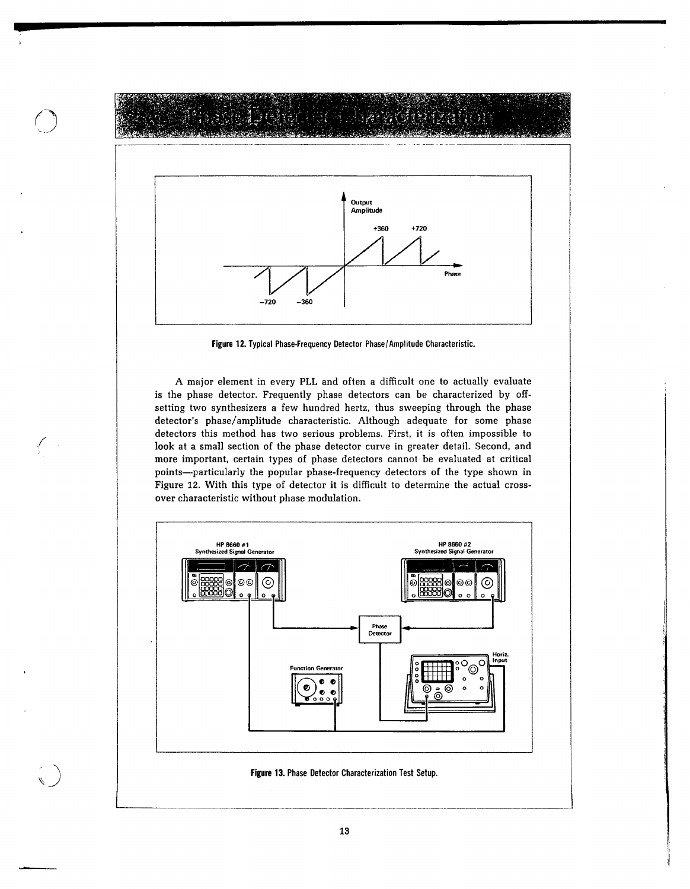

Figure 12. Typical Phase-Frequency Detector Phase/Amplitude Characteristic.

A major element in every PLL and often a difficult one to actually evaluate is the phase detector. Frequently phase detectors can be characterized by offsetting two synthesizers a few hundred hertz, thus sweeping through the phase detector's phase/amplitude characteristic. Although adequate for some phase detectors this method has two serious problems. First, it is often impossible to look at a small section of the phase detector curve in greater detail. Second, and more important, certain types of phase detectors cannot be evaluated at critical points-particularly the popular phase-frequency detectors of the type shown in Figure 12. With this type of detector it is difficult to determine the actual crossover characteristic without phase modulation.



13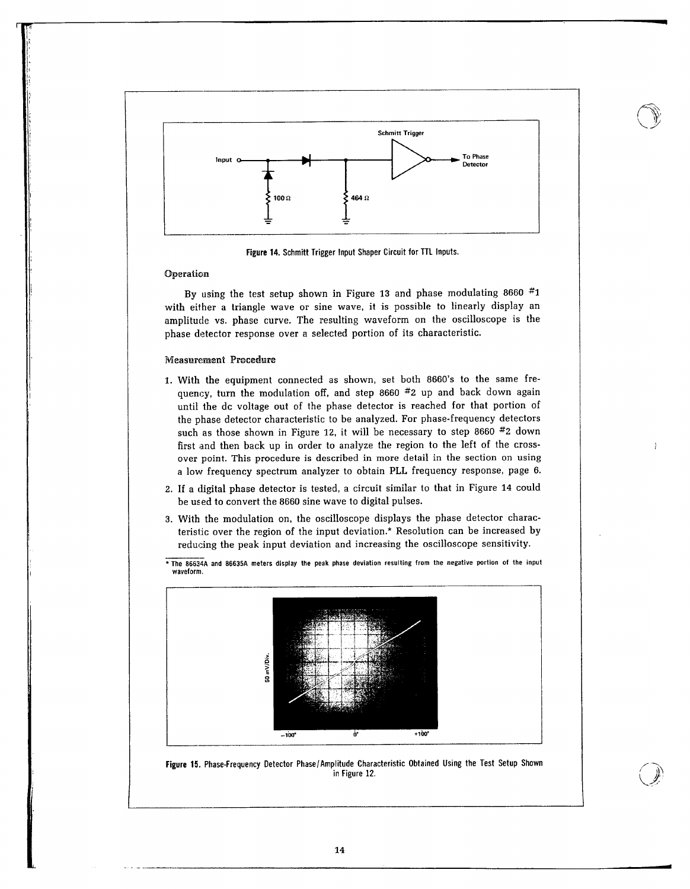

Figure 14. Schmitt Trigger Input Shaper Circuit for TTL Inputs.

#### Operation

By using the test setup shown in Figure 13 and phase modulating 8660  $#1$ with either a triangle wave or sine wave, it is possible to linearly display an amplitude vs. phase curve. The resulting waveform on the oscilloscope is the phase detector response over a selected portion of its characteristic.

### Measurement Procedure

- 1. With the equipment connected as shown, set both 8660's to the same frequency, turn the modulation off, and step 8660 #2 up and back down again until the dc voltage out of the phase detector is reached for that portion of the phase detector characteristic to be analyzed. For phase-frequency detectors such as those shown in Figure 12, it will be necessary to step 8660  $#2$  down first and then back up in order to analyze the region to the left of the crossover point. This procedure is described in more detail in the section on using a low frequency spectrum analyzer to obtain PLL frequency response, page 6.
- 2. If a digital phase detector is tested, a circuit similar to that in Figure 14 could be used to convert the 8660 sine wave to digital pulses.
- 3. With the modulation on, the oscilloscope displays the phase detector characteristic over the region of the input deviation.\* Resolution can be increased by reducing the peak input deviation and increasing the oscilloscope sensitivity.
- \* The 86634A and 86635A meters display the peak phase deviation resulting from the negative portion of the input waveform.



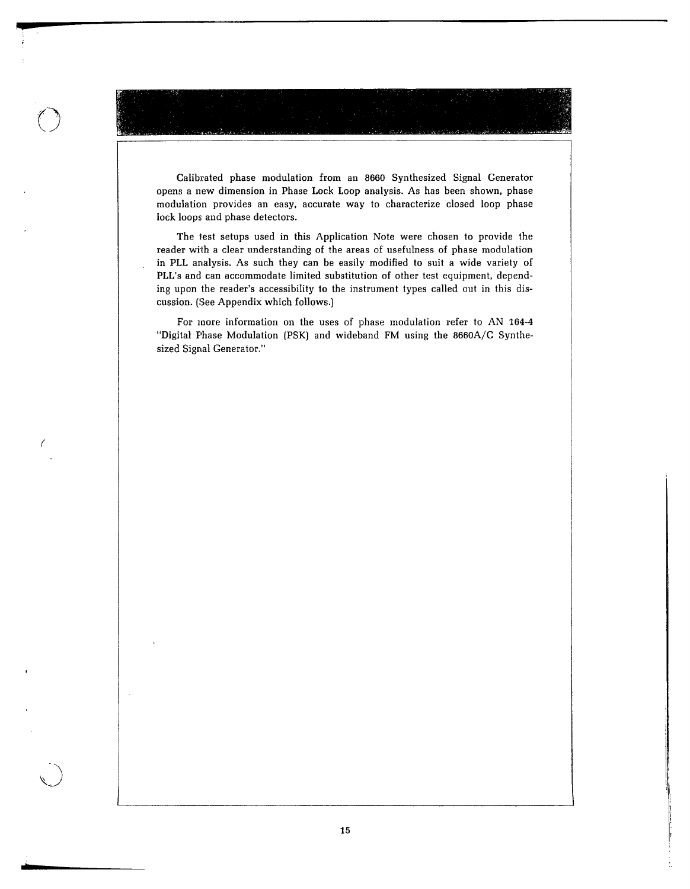Calibrated phase modulation from an 8660 Synthesized Signal Generator opens a new dimension in Phase Lock Loop analysis. As has been shown, phase modulation provides an easy, accurate way to characterize closed loop phase lock loops and phase detectors.

The test setups used in this Application Note were chosen to provide the reader with a clear understanding of the areas of usefulness of phase modulation in PLL analysis. As such they can be easily modified to suit a wide variety of PLL's and can accommodate limited substitution of other test equipment, depending upon the reader's accessibility to the instrument types called out in this discussion. (See Appendix which follows.)

For more information on the uses of phase modulation refer to AN 164-4 "Digital Phase Modulation (PSK) and wideband FM using the 8660A/C Synthesized Signal Generator."

 $\ell$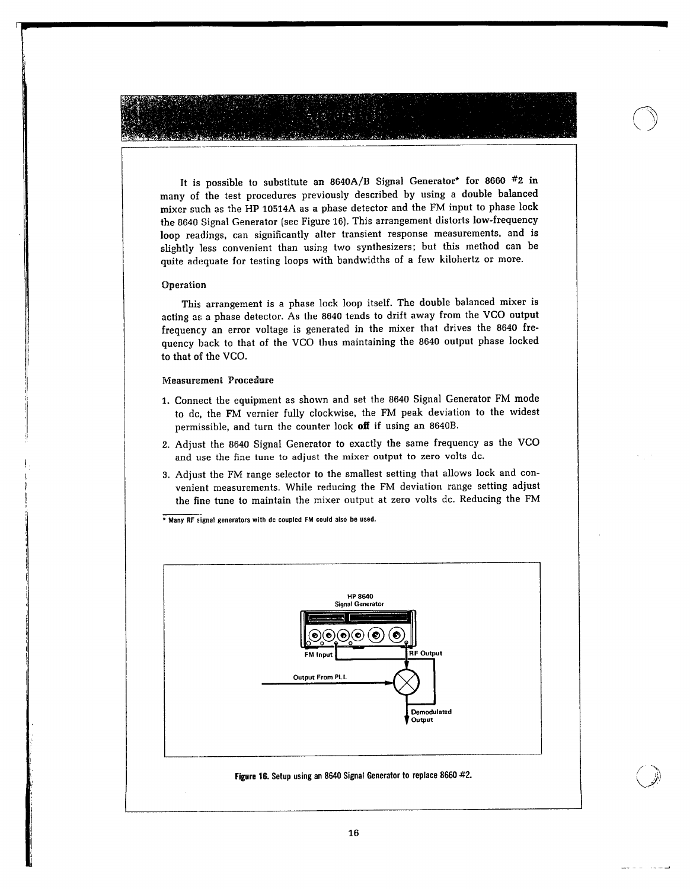It is possible to substitute an 8640A/B Signal Generator\* for 8660 #2 in many of the test procedures previously described by using a double balanced mixer such as the HP 10514A as a phase detector and the FM input to phase lock the 8640 Signal Generator (see Figure 16). This arrangement distorts low-frequency loop readings, can significantly alter transient response measurements, and is slightly less convenient than using two synthesizers; but this method can be quite adequate for testing loops with bandwidths of a few kilohertz or more.

#### Operation

This arrangement is a phase lock loop itself. The double balanced mixer is acting as a phase detector. As the 8640 tends to drift away from the VCO output frequency an error voltage is generated in the mixer that drives the 8640 frequency back to that of the VCO thus maintaining the 8640 output phase locked to that of the VCO.

#### **Measurement Procedure**

- 1. Connect the equipment as shown and set the 8640 Signal Generator FM mode to dc, the FM vernier fully clockwise, the FM peak deviation to the widest permissible, and turn the counter lock off if using an 8640B.
- 2. Adjust the 8640 Signal Generator to exactly the same frequency as the VCO and use the fine tune to adjust the mixer output to zero volts dc.
- 3. Adjust the FM range selector to the smallest setting that allows lock and convenient measurements. While reducing the FM deviation range setting adjust the fine tune to maintain the mixer output at zero volts dc. Reducing the FM

\* Many RF signal generators with dc coupled FM could also be used.



. . . . . .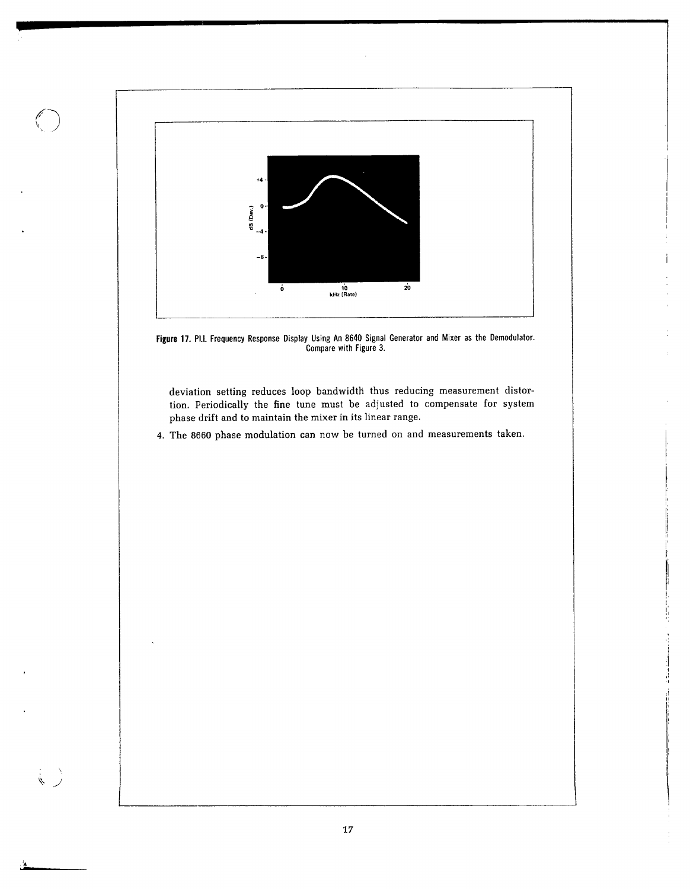

Figure 17. Pl.L. Frequency Response Display Using An 8640 Signal Generator and Mixer as the Demodulator.<br>Compare with Figure 3.

deviation setting reduces loop bandwidth thus reducing measurement distortion. Periodically the fine tune must be adjusted to compensate for system phase drift and to maintain the mixer in its linear range.

4. The 8660 phase modulation can now be turned on and measurements taken.